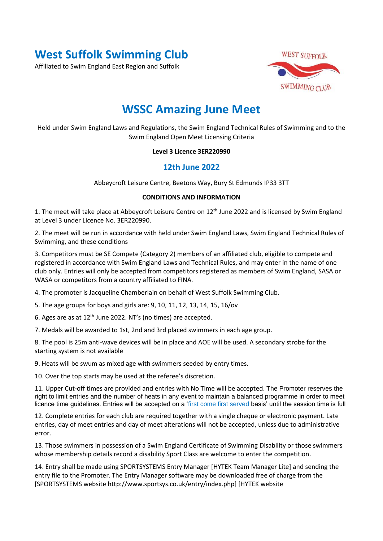# **West Suffolk Swimming Club**

Affiliated to Swim England East Region and Suffolk



# **WSSC Amazing June Meet**

Held under Swim England Laws and Regulations, the Swim England Technical Rules of Swimming and to the Swim England Open Meet Licensing Criteria

#### **Level 3 Licence 3ER220990**

### **12th June 2022**

Abbeycroft Leisure Centre, Beetons Way, Bury St Edmunds IP33 3TT

#### **CONDITIONS AND INFORMATION**

1. The meet will take place at Abbeycroft Leisure Centre on 12<sup>th</sup> June 2022 and is licensed by Swim England at Level 3 under Licence No. 3ER220990.

2. The meet will be run in accordance with held under Swim England Laws, Swim England Technical Rules of Swimming, and these conditions

3. Competitors must be SE Compete (Category 2) members of an affiliated club, eligible to compete and registered in accordance with Swim England Laws and Technical Rules, and may enter in the name of one club only. Entries will only be accepted from competitors registered as members of Swim England, SASA or WASA or competitors from a country affiliated to FINA.

4. The promoter is Jacqueline Chamberlain on behalf of West Suffolk Swimming Club.

5. The age groups for boys and girls are: 9, 10, 11, 12, 13, 14, 15, 16/ov

6. Ages are as at 12th June 2022. NT's (no times) are accepted.

7. Medals will be awarded to 1st, 2nd and 3rd placed swimmers in each age group.

8. The pool is 25m anti-wave devices will be in place and AOE will be used. A secondary strobe for the starting system is not available

9. Heats will be swum as mixed age with swimmers seeded by entry times.

10. Over the top starts may be used at the referee's discretion.

11. Upper Cut-off times are provided and entries with No Time will be accepted. The Promoter reserves the right to limit entries and the number of heats in any event to maintain a balanced programme in order to meet licence time guidelines. Entries will be accepted on a 'first come first served basis' until the session time is full

12. Complete entries for each club are required together with a single cheque or electronic payment. Late entries, day of meet entries and day of meet alterations will not be accepted, unless due to administrative error.

13. Those swimmers in possession of a Swim England Certificate of Swimming Disability or those swimmers whose membership details record a disability Sport Class are welcome to enter the competition.

14. Entry shall be made using SPORTSYSTEMS Entry Manager [HYTEK Team Manager Lite] and sending the entry file to the Promoter. The Entry Manager software may be downloaded free of charge from the [SPORTSYSTEMS website http://www.sportsys.co.uk/entry/index.php] [HYTEK website